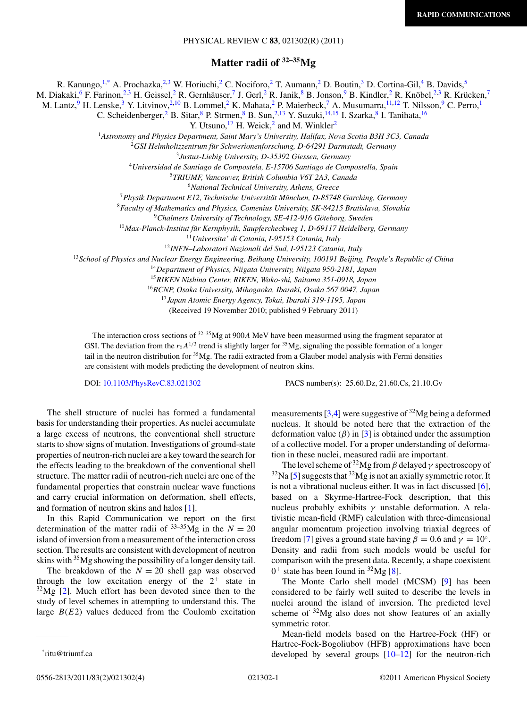## PHYSICAL REVIEW C **83**, 021302(R) (2011)

**Matter radii of 32–35Mg**

R. Kanungo,<sup>1,\*</sup> A. Prochazka,<sup>2,3</sup> W. Horiuchi,<sup>2</sup> C. Nociforo,<sup>2</sup> T. Aumann,<sup>2</sup> D. Boutin,<sup>3</sup> D. Cortina-Gil,<sup>4</sup> B. Davids,<sup>5</sup>

M. Diakaki,<sup>6</sup> F. Farinon,<sup>2,3</sup> H. Geissel,<sup>2</sup> R. Gernhäuser,<sup>7</sup> J. Gerl,<sup>2</sup> R. Janik,<sup>8</sup> B. Jonson,<sup>9</sup> B. Kindler,<sup>2</sup> R. Knöbel,<sup>2,3</sup> R. Krücken,<sup>7</sup>

M. Lantz, <sup>9</sup> H. Lenske, <sup>3</sup> Y. Litvinov, <sup>2,10</sup> B. Lommel, <sup>2</sup> K. Mahata, <sup>2</sup> P. Maierbeck, <sup>7</sup> A. Musumarra, <sup>11,12</sup> T. Nilsson, <sup>9</sup> C. Perro, <sup>1</sup>

C. Scheidenberger,<sup>2</sup> B. Sitar, <sup>8</sup> P. Strmen, <sup>8</sup> B. Sun, <sup>2,13</sup> Y. Suzuki, <sup>14,15</sup> I. Szarka, <sup>8</sup> I. Tanihata, <sup>16</sup>

Y. Utsuno,  $^{17}$  H. Weick,<sup>2</sup> and M. Winkler<sup>2</sup>

<sup>1</sup>*Astronomy and Physics Department, Saint Mary's University, Halifax, Nova Scotia B3H 3C3, Canada*

<sup>2</sup>*GSI Helmholtzzentrum fur Schwerionenforschung, D-64291 Darmstadt, Germany ¨*

<sup>3</sup>*Justus-Liebig University, D-35392 Giessen, Germany*

<sup>4</sup>*Universidad de Santiago de Compostela, E-15706 Santiago de Compostella, Spain*

<sup>5</sup>*TRIUMF, Vancouver, British Columbia V6T 2A3, Canada*

<sup>6</sup>*National Technical University, Athens, Greece*

<sup>7</sup>*Physik Department E12, Technische Universitat M¨ unchen, D-85748 Garching, Germany ¨*

<sup>8</sup>*Faculty of Mathematics and Physics, Comenius University, SK-84215 Bratislava, Slovakia*

<sup>9</sup>Chalmers University of Technology, SE-412-916 Göteborg, Sweden

<sup>10</sup> Max-Planck-Institut für Kernphysik, Saupfercheckweg 1, D-69117 Heidelberg, Germany

<sup>11</sup>*Universita' di Catania, I-95153 Catania, Italy*

<sup>12</sup>*INFN–Laboratori Nazionali del Sud, I-95123 Catania, Italy*

<sup>13</sup>*School of Physics and Nuclear Energy Engineering, Beihang University, 100191 Beijing, People's Republic of China*

<sup>14</sup>*Department of Physics, Niigata University, Niigata 950-2181, Japan*

<sup>15</sup>*RIKEN Nishina Center, RIKEN, Wako-shi, Saitama 351-0918, Japan*

<sup>16</sup>*RCNP, Osaka University, Mihogaoka, Ibaraki, Osaka 567 0047, Japan*

<sup>17</sup>*Japan Atomic Energy Agency, Tokai, Ibaraki 319-1195, Japan*

(Received 19 November 2010; published 9 February 2011)

The interaction cross sections of 32–35Mg at 900*A* MeV have been measurmed using the fragment separator at GSI. The deviation from the  $r_0A^{1/3}$  trend is slightly larger for <sup>35</sup>Mg, signaling the possible formation of a longer tail in the neutron distribution for  $35Mg$ . The radii extracted from a Glauber model analysis with Fermi densities are consistent with models predicting the development of neutron skins.

DOI: [10.1103/PhysRevC.83.021302](http://dx.doi.org/10.1103/PhysRevC.83.021302) PACS number(s): 25*.*60*.*Dz, 21*.*60*.*Cs, 21*.*10*.*Gv

The shell structure of nuclei has formed a fundamental basis for understanding their properties. As nuclei accumulate a large excess of neutrons, the conventional shell structure starts to show signs of mutation. Investigations of ground-state properties of neutron-rich nuclei are a key toward the search for the effects leading to the breakdown of the conventional shell structure. The matter radii of neutron-rich nuclei are one of the fundamental properties that constrain nuclear wave functions and carry crucial information on deformation, shell effects, and formation of neutron skins and halos [\[1\]](#page-3-0).

In this Rapid Communication we report on the first determination of the matter radii of  $33-35$ Mg in the  $N = 20$ island of inversion from a measurement of the interaction cross section. The results are consistent with development of neutron skins with <sup>35</sup>Mg showing the possibility of a longer density tail.

The breakdown of the  $N = 20$  shell gap was observed through the low excitation energy of the  $2^+$  state in  $32\text{Mg}$  [\[2\]](#page-3-0). Much effort has been devoted since then to the study of level schemes in attempting to understand this. The large  $B(E2)$  values deduced from the Coulomb excitation

measurements  $[3,4]$  were suggestive of  $^{32}Mg$  being a deformed nucleus. It should be noted here that the extraction of the deformation value  $(\beta)$  in [\[3\]](#page-3-0) is obtained under the assumption of a collective model. For a proper understanding of deformation in these nuclei, measured radii are important.

The level scheme of 32Mg from *β* delayed *γ* spectroscopy of  $32$ Na [\[5\]](#page-3-0) suggests that  $32$ Mg is not an axially symmetric rotor. It is not a vibrational nucleus either. It was in fact discussed [\[6\]](#page-3-0), based on a Skyrme-Hartree-Fock description, that this nucleus probably exhibits *γ* unstable deformation. A relativistic mean-field (RMF) calculation with three-dimensional angular momentum projection involving triaxial degrees of freedom [\[7\]](#page-3-0) gives a ground state having  $\beta = 0.6$  and  $\gamma = 10^\circ$ . Density and radii from such models would be useful for comparison with the present data. Recently, a shape coexistent  $0^+$  state has been found in <sup>32</sup>Mg [\[8\]](#page-3-0).

The Monte Carlo shell model (MCSM) [\[9\]](#page-3-0) has been considered to be fairly well suited to describe the levels in nuclei around the island of inversion. The predicted level scheme of  $32\text{Mg}$  also does not show features of an axially symmetric rotor.

Mean-field models based on the Hartree-Fock (HF) or Hartree-Fock-Bogoliubov (HFB) approximations have been developed by several groups [\[10–12\]](#page-3-0) for the neutron-rich

<sup>\*</sup>ritu@triumf.ca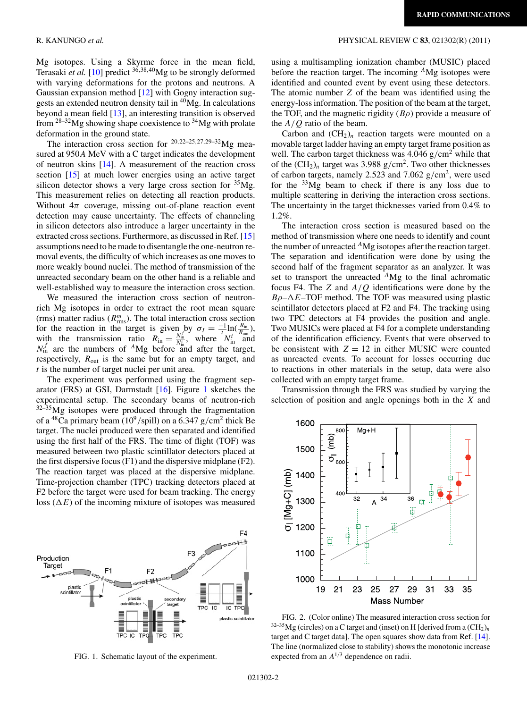Mg isotopes. Using a Skyrme force in the mean field, Terasaki *et al.* [\[10\]](#page-3-0) predict <sup>36</sup>*,*38*,*40Mg to be strongly deformed with varying deformations for the protons and neutrons. A Gaussian expansion method [\[12\]](#page-3-0) with Gogny interaction suggests an extended neutron density tail in  ${}^{40}Mg$ . In calculations beyond a mean field [\[13\]](#page-3-0), an interesting transition is observed from  $28-32$  Mg showing shape coexistence to  $34$  Mg with prolate deformation in the ground state.

The interaction cross section for <sup>20</sup>*,*22–25*,*27*,*29–32Mg measured at 950*A* MeV with a C target indicates the development of neutron skins [\[14\]](#page-3-0). A measurement of the reaction cross section [\[15\]](#page-3-0) at much lower energies using an active target silicon detector shows a very large cross section for  ${}^{35}Mg$ . This measurement relies on detecting all reaction products. Without  $4\pi$  coverage, missing out-of-plane reaction event detection may cause uncertainty. The effects of channeling in silicon detectors also introduce a larger uncertainty in the extracted cross sections. Furthermore, as discussed in Ref. [\[15\]](#page-3-0) assumptions need to be made to disentangle the one-neutron removal events, the difficulty of which increases as one moves to more weakly bound nuclei. The method of transmission of the unreacted secondary beam on the other hand is a reliable and well-established way to measure the interaction cross section.

We measured the interaction cross section of neutronrich Mg isotopes in order to extract the root mean square (rms) matter radius  $(R_{\text{rms}}^m)$ . The total interaction cross section for the reaction in the target is given by  $\sigma_I = \frac{-1}{t} \ln(\frac{R_{\text{in}}}{R_{\text{out}}})$ , with the transmission ratio  $R_{\text{in}} = \frac{N_{\text{in}}^f}{N_{\text{in}}^i}$ , where  $N_{\text{in}}^i$  and  $N_{\text{in}}^f$  are the numbers of <sup>A</sup>Mg before and after the target, respectively,  $R_{\text{out}}$  is the same but for an empty target, and *t* is the number of target nuclei per unit area.

The experiment was performed using the fragment separator (FRS) at GSI, Darmstadt [\[16\]](#page-3-0). Figure 1 sketches the experimental setup. The secondary beams of neutron-rich  $32-\frac{35}{9}$ Mg isotopes were produced through the fragmentation of a <sup>48</sup>Ca primary beam ( $10^9$ /spill) on a 6.347 g/cm<sup>2</sup> thick Be target. The nuclei produced were then separated and identified using the first half of the FRS. The time of flight (TOF) was measured between two plastic scintillator detectors placed at the first dispersive focus (F1) and the dispersive midplane (F2). The reaction target was placed at the dispersive midplane. Time-projection chamber (TPC) tracking detectors placed at F2 before the target were used for beam tracking. The energy loss  $(\Delta E)$  of the incoming mixture of isotopes was measured



FIG. 1. Schematic layout of the experiment.

## <span id="page-1-0"></span>R. KANUNGO *et al.* PHYSICAL REVIEW C **83**, 021302(R) (2011)

using a multisampling ionization chamber (MUSIC) placed before the reaction target. The incoming *<sup>A</sup>*Mg isotopes were identified and counted event by event using these detectors. The atomic number *Z* of the beam was identified using the energy-loss information. The position of the beam at the target, the TOF, and the magnetic rigidity (*Bρ*) provide a measure of the *A/Q* ratio of the beam.

Carbon and  $(CH_2)_n$  reaction targets were mounted on a movable target ladder having an empty target frame position as well. The carbon target thickness was 4.046 g/cm<sup>2</sup> while that of the  $(CH_2)_n$  target was 3.988 g/cm<sup>2</sup>. Two other thicknesses of carbon targets, namely 2.523 and 7.062 g*/*cm2, were used for the  $33Mg$  beam to check if there is any loss due to multiple scattering in deriving the interaction cross sections. The uncertainty in the target thicknesses varied from 0.4% to 1.2%.

The interaction cross section is measured based on the method of transmission where one needs to identify and count the number of unreacted *<sup>A</sup>*Mg isotopes after the reaction target. The separation and identification were done by using the second half of the fragment separator as an analyzer. It was set to transport the unreacted *<sup>A</sup>*Mg to the final achromatic focus F4. The *Z* and *A/Q* identifications were done by the  $B\rho-\Delta E$ –TOF method. The TOF was measured using plastic scintillator detectors placed at F2 and F4. The tracking using two TPC detectors at F4 provides the position and angle. Two MUSICs were placed at F4 for a complete understanding of the identification efficiency. Events that were observed to be consistent with  $Z = 12$  in either MUSIC were counted as unreacted events. To account for losses occurring due to reactions in other materials in the setup, data were also collected with an empty target frame.

Transmission through the FRS was studied by varying the selection of position and angle openings both in the *X* and



FIG. 2. (Color online) The measured interaction cross section for  $32-35$ Mg (circles) on a C target and (inset) on H [derived from a  $(CH_2)_n$ target and C target data]. The open squares show data from Ref. [\[14\]](#page-3-0). The line (normalized close to stability) shows the monotonic increase expected from an *A*<sup>1</sup>*/*<sup>3</sup> dependence on radii.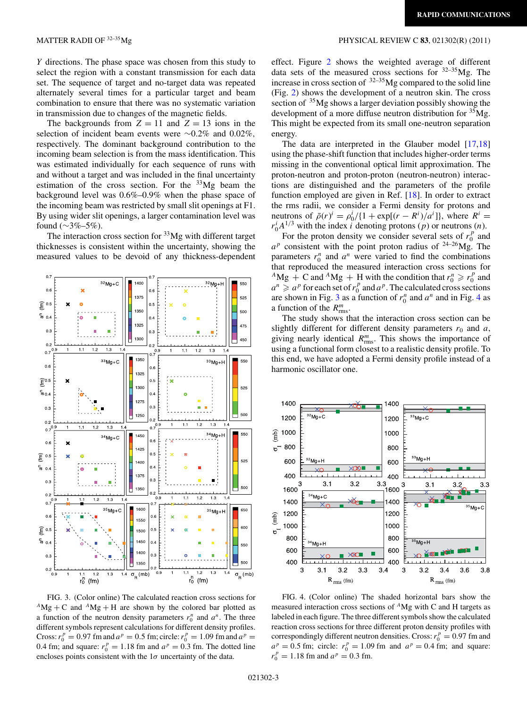*Y* directions. The phase space was chosen from this study to select the region with a constant transmission for each data set. The sequence of target and no-target data was repeated alternately several times for a particular target and beam combination to ensure that there was no systematic variation in transmission due to changes of the magnetic fields.

The backgrounds from  $Z = 11$  and  $Z = 13$  ions in the selection of incident beam events were ∼0.2% and 0.02%*,* respectively. The dominant background contribution to the incoming beam selection is from the mass identification. This was estimated individually for each sequence of runs with and without a target and was included in the final uncertainty estimation of the cross section. For the  $33Mg$  beam the background level was 0.6%–0.9% when the phase space of the incoming beam was restricted by small slit openings at F1. By using wider slit openings, a larger contamination level was found ( $\sim$ 3%–5%).

The interaction cross section for  $33Mg$  with different target thicknesses is consistent within the uncertainty, showing the measured values to be devoid of any thickness-dependent



FIG. 3. (Color online) The calculated reaction cross sections for  $^{A}Mg + C$  and  $^{A}Mg + H$  are shown by the colored bar plotted as a function of the neutron density parameters  $r_0^n$  and  $a^n$ . The three different symbols represent calculations for different density profiles. Cross:  $r_0^p = 0.97$  fm and  $a^p = 0.5$  fm; circle:  $r_0^p = 1.09$  fm and  $a^p = 0.97$ 0.4 fm; and square:  $r_0^p = 1.18$  fm and  $a^p = 0.3$  fm. The dotted line encloses points consistent with the  $1\sigma$  uncertainty of the data.

## <span id="page-2-0"></span>MATTER RADII OF 32–35Mg PHYSICAL REVIEW C **83**, 021302(R) (2011)

effect. Figure [2](#page-1-0) shows the weighted average of different data sets of the measured cross sections for  $32-35$ Mg. The increase in cross section of  $32-35$ Mg compared to the solid line (Fig. [2\)](#page-1-0) shows the development of a neutron skin. The cross section of <sup>35</sup>Mg shows a larger deviation possibly showing the development of a more diffuse neutron distribution for  ${}^{35}Mg$ . This might be expected from its small one-neutron separation energy.

The data are interpreted in the Glauber model [\[17,18\]](#page-3-0) using the phase-shift function that includes higher-order terms missing in the conventional optical limit approximation. The proton-neutron and proton-proton (neutron-neutron) interactions are distinguished and the parameters of the profile function employed are given in Ref. [\[18\]](#page-3-0). In order to extract the rms radii, we consider a Fermi density for protons and neutrons of  $\bar{\rho}(r)^i = \rho_0^i / \{1 + \exp[(r - R^i)/a^i]\}$ , where  $R^i =$  $r_0^i A^{1/3}$  with the index *i* denoting protons (*p*) or neutrons (*n*).

For the proton density we consider several sets of  $r_0^p$  and  $a^p$  consistent with the point proton radius of <sup>24–26</sup>Mg. The parameters  $r_0^n$  and  $a^n$  were varied to find the combinations that reproduced the measured interaction cross sections for  $^{A}Mg + C$  and  $^{A}Mg + H$  with the condition that  $r_0^n \ge r_0^p$  and  $a^n \geq a^p$  for each set of  $r_0^p$  and  $a^p$ . The calculated cross sections are shown in Fig. 3 as a function of  $r_0^n$  and  $a^n$  and in Fig. 4 as a function of the  $R_{\text{rms}}^m$ .

The study shows that the interaction cross section can be slightly different for different density parameters  $r_0$  and  $a$ , giving nearly identical  $R_{\text{rms}}^m$ . This shows the importance of using a functional form closest to a realistic density profile. To this end, we have adopted a Fermi density profile instead of a harmonic oscillator one.



FIG. 4. (Color online) The shaded horizontal bars show the measured interaction cross sections of *<sup>A</sup>*Mg with C and H targets as labeled in each figure. The three different symbols show the calculated reaction cross sections for three different proton density profiles with correspondingly different neutron densities. Cross:  $r_0^p = 0.97$  fm and  $a^p = 0.5$  fm; circle:  $r_0^p = 1.09$  fm and  $a^p = 0.4$  fm; and square:  $r_0^p = 1.18$  fm and  $a^p = 0.3$  fm.